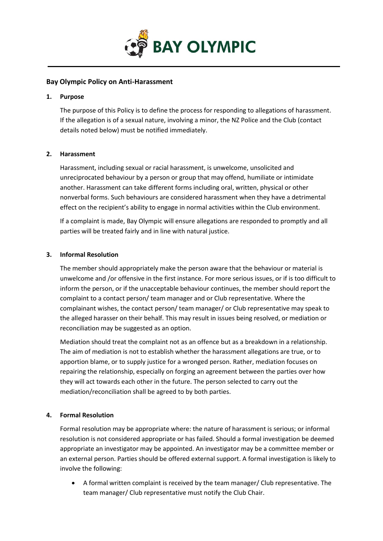

# **Bay Olympic Policy on Anti-Harassment**

### **1. Purpose**

The purpose of this Policy is to define the process for responding to allegations of harassment. If the allegation is of a sexual nature, involving a minor, the NZ Police and the Club (contact details noted below) must be notified immediately.

# **2. Harassment**

Harassment, including sexual or racial harassment, is unwelcome, unsolicited and unreciprocated behaviour by a person or group that may offend, humiliate or intimidate another. Harassment can take different forms including oral, written, physical or other nonverbal forms. Such behaviours are considered harassment when they have a detrimental effect on the recipient's ability to engage in normal activities within the Club environment.

If a complaint is made, Bay Olympic will ensure allegations are responded to promptly and all parties will be treated fairly and in line with natural justice.

# **3. Informal Resolution**

The member should appropriately make the person aware that the behaviour or material is unwelcome and /or offensive in the first instance. For more serious issues, or if is too difficult to inform the person, or if the unacceptable behaviour continues, the member should report the complaint to a contact person/ team manager and or Club representative. Where the complainant wishes, the contact person/ team manager/ or Club representative may speak to the alleged harasser on their behalf. This may result in issues being resolved, or mediation or reconciliation may be suggested as an option.

Mediation should treat the complaint not as an offence but as a breakdown in a relationship. The aim of mediation is not to establish whether the harassment allegations are true, or to apportion blame, or to supply justice for a wronged person. Rather, mediation focuses on repairing the relationship, especially on forging an agreement between the parties over how they will act towards each other in the future. The person selected to carry out the mediation/reconciliation shall be agreed to by both parties.

# **4. Formal Resolution**

Formal resolution may be appropriate where: the nature of harassment is serious; or informal resolution is not considered appropriate or has failed. Should a formal investigation be deemed appropriate an investigator may be appointed. An investigator may be a committee member or an external person. Parties should be offered external support. A formal investigation is likely to involve the following:

• A formal written complaint is received by the team manager/ Club representative. The team manager/ Club representative must notify the Club Chair.